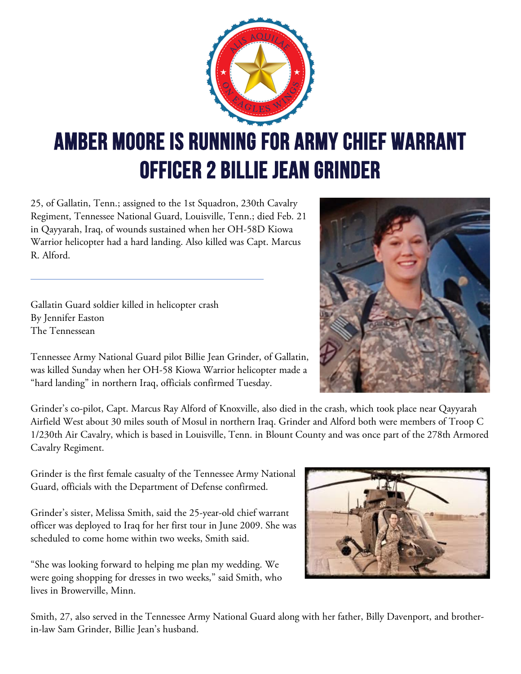

## Amber Moore is running for Army Chief Warrant Officer 2 Billie Jean Grinder

25, of Gallatin, Tenn.; assigned to the 1st Squadron, 230th Cavalry Regiment, Tennessee National Guard, Louisville, Tenn.; died Feb. 21 in Qayyarah, Iraq, of wounds sustained when her OH-58D Kiowa Warrior helicopter had a hard landing. Also killed was Capt. Marcus R. Alford.

Gallatin Guard soldier killed in helicopter crash By Jennifer Easton The Tennessean



Tennessee Army National Guard pilot Billie Jean Grinder, of Gallatin, was killed Sunday when her OH-58 Kiowa Warrior helicopter made a "hard landing" in northern Iraq, officials confirmed Tuesday.

Grinder's co-pilot, Capt. Marcus Ray Alford of Knoxville, also died in the crash, which took place near Qayyarah Airfield West about 30 miles south of Mosul in northern Iraq. Grinder and Alford both were members of Troop C 1/230th Air Cavalry, which is based in Louisville, Tenn. in Blount County and was once part of the 278th Armored Cavalry Regiment.

Grinder is the first female casualty of the Tennessee Army National Guard, officials with the Department of Defense confirmed.

Grinder's sister, Melissa Smith, said the 25-year-old chief warrant officer was deployed to Iraq for her first tour in June 2009. She was scheduled to come home within two weeks, Smith said.

"She was looking forward to helping me plan my wedding. We were going shopping for dresses in two weeks," said Smith, who lives in Browerville, Minn.



Smith, 27, also served in the Tennessee Army National Guard along with her father, Billy Davenport, and brotherin-law Sam Grinder, Billie Jean's husband.